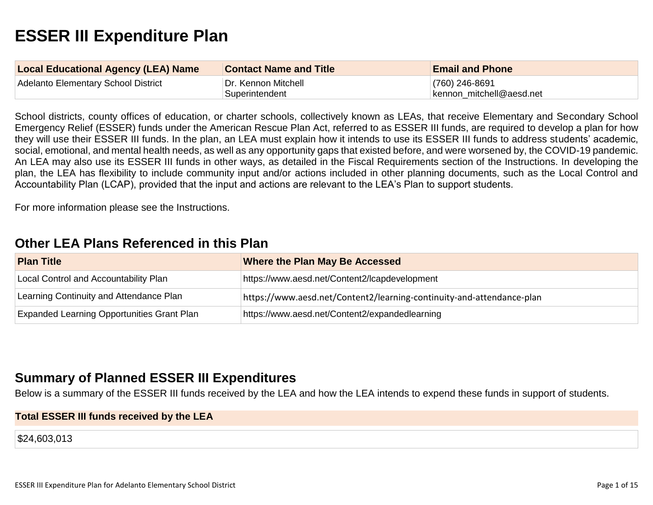# **ESSER III Expenditure Plan**

| <b>Local Educational Agency (LEA) Name</b> | <b>Contact Name and Title</b> | <b>Email and Phone</b>   |
|--------------------------------------------|-------------------------------|--------------------------|
| Adelanto Elementary School District        | Dr. Kennon Mitchell           | $(760)$ 246-8691         |
|                                            | Superintendent                | kennon mitchell@aesd.net |

School districts, county offices of education, or charter schools, collectively known as LEAs, that receive Elementary and Secondary School Emergency Relief (ESSER) funds under the American Rescue Plan Act, referred to as ESSER III funds, are required to develop a plan for how they will use their ESSER III funds. In the plan, an LEA must explain how it intends to use its ESSER III funds to address students' academic, social, emotional, and mental health needs, as well as any opportunity gaps that existed before, and were worsened by, the COVID-19 pandemic. An LEA may also use its ESSER III funds in other ways, as detailed in the Fiscal Requirements section of the Instructions. In developing the plan, the LEA has flexibility to include community input and/or actions included in other planning documents, such as the Local Control and Accountability Plan (LCAP), provided that the input and actions are relevant to the LEA's Plan to support students.

For more information please see the Instructions.

### **[Other LEA Plans Referenced in this Plan](#page-9-0)**

| <b>Plan Title</b>                                 | <b>Where the Plan May Be Accessed</b>                                 |
|---------------------------------------------------|-----------------------------------------------------------------------|
| <b>Local Control and Accountability Plan</b>      | https://www.aesd.net/Content2/lcapdevelopment                         |
| Learning Continuity and Attendance Plan           | https://www.aesd.net/Content2/learning-continuity-and-attendance-plan |
| <b>Expanded Learning Opportunities Grant Plan</b> | https://www.aesd.net/Content2/expandedlearning                        |

### **[Summary of Planned ESSER III Expenditures](#page-9-1)**

Below is a summary of the ESSER III funds received by the LEA and how the LEA intends to expend these funds in support of students.

#### **Total ESSER III funds received by the LEA**

\$24,603,013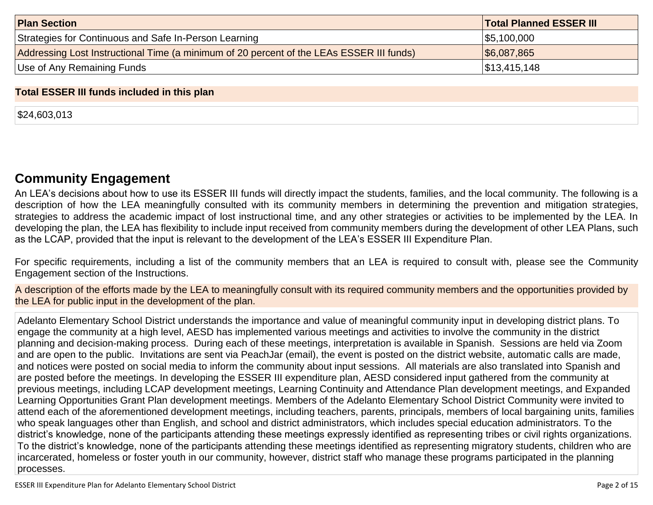| <b>Plan Section</b>                                                                      | <b>Total Planned ESSER III</b> |
|------------------------------------------------------------------------------------------|--------------------------------|
| Strategies for Continuous and Safe In-Person Learning                                    | \$5,100,000                    |
| Addressing Lost Instructional Time (a minimum of 20 percent of the LEAs ESSER III funds) | $\frac{1}{6}$ 6,087,865        |
| Use of Any Remaining Funds                                                               | $\frac{1}{3}$ 13,415,148       |

#### **Total ESSER III funds included in this plan**

\$24,603,013

### **[Community Engagement](#page-10-0)**

An LEA's decisions about how to use its ESSER III funds will directly impact the students, families, and the local community. The following is a description of how the LEA meaningfully consulted with its community members in determining the prevention and mitigation strategies, strategies to address the academic impact of lost instructional time, and any other strategies or activities to be implemented by the LEA. In developing the plan, the LEA has flexibility to include input received from community members during the development of other LEA Plans, such as the LCAP, provided that the input is relevant to the development of the LEA's ESSER III Expenditure Plan.

For specific requirements, including a list of the community members that an LEA is required to consult with, please see the Community Engagement section of the Instructions.

A description of the efforts made by the LEA to meaningfully consult with its required community members and the opportunities provided by the LEA for public input in the development of the plan.

Adelanto Elementary School District understands the importance and value of meaningful community input in developing district plans. To engage the community at a high level, AESD has implemented various meetings and activities to involve the community in the district planning and decision-making process. During each of these meetings, interpretation is available in Spanish. Sessions are held via Zoom and are open to the public. Invitations are sent via PeachJar (email), the event is posted on the district website, automatic calls are made, and notices were posted on social media to inform the community about input sessions. All materials are also translated into Spanish and are posted before the meetings. In developing the ESSER III expenditure plan, AESD considered input gathered from the community at previous meetings, including LCAP development meetings, Learning Continuity and Attendance Plan development meetings, and Expanded Learning Opportunities Grant Plan development meetings. Members of the Adelanto Elementary School District Community were invited to attend each of the aforementioned development meetings, including teachers, parents, principals, members of local bargaining units, families who speak languages other than English, and school and district administrators, which includes special education administrators. To the district's knowledge, none of the participants attending these meetings expressly identified as representing tribes or civil rights organizations. To the district's knowledge, none of the participants attending these meetings identified as representing migratory students, children who are incarcerated, homeless or foster youth in our community, however, district staff who manage these programs participated in the planning processes.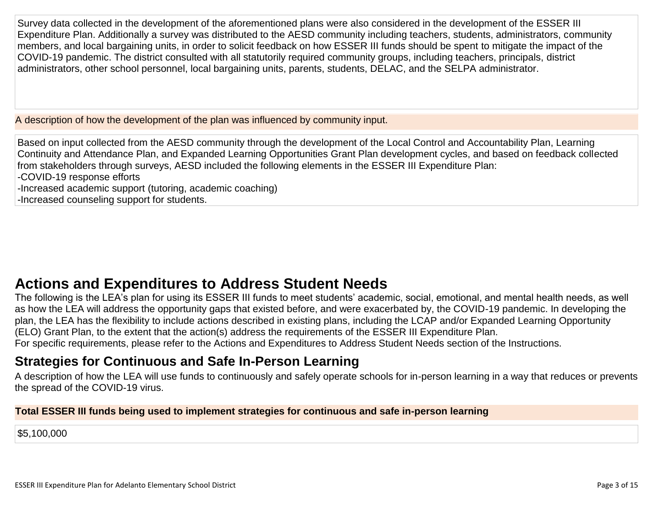Survey data collected in the development of the aforementioned plans were also considered in the development of the ESSER III Expenditure Plan. Additionally a survey was distributed to the AESD community including teachers, students, administrators, community members, and local bargaining units, in order to solicit feedback on how ESSER III funds should be spent to mitigate the impact of the COVID-19 pandemic. The district consulted with all statutorily required community groups, including teachers, principals, district administrators, other school personnel, local bargaining units, parents, students, DELAC, and the SELPA administrator.

A description of how the development of the plan was influenced by community input.

Based on input collected from the AESD community through the development of the Local Control and Accountability Plan, Learning Continuity and Attendance Plan, and Expanded Learning Opportunities Grant Plan development cycles, and based on feedback collected from stakeholders through surveys, AESD included the following elements in the ESSER III Expenditure Plan:

-COVID-19 response efforts

-Increased academic support (tutoring, academic coaching)

-Increased counseling support for students.

# **[Actions and Expenditures to Address Student Needs](#page-12-0)**

The following is the LEA's plan for using its ESSER III funds to meet students' academic, social, emotional, and mental health needs, as well as how the LEA will address the opportunity gaps that existed before, and were exacerbated by, the COVID-19 pandemic. In developing the plan, the LEA has the flexibility to include actions described in existing plans, including the LCAP and/or Expanded Learning Opportunity (ELO) Grant Plan, to the extent that the action(s) address the requirements of the ESSER III Expenditure Plan.

For specific requirements, please refer to the Actions and Expenditures to Address Student Needs section of the Instructions.

## **[Strategies for Continuous and Safe In-Person Learning](#page-12-1)**

A description of how the LEA will use funds to continuously and safely operate schools for in-person learning in a way that reduces or prevents the spread of the COVID-19 virus.

#### **Total ESSER III funds being used to implement strategies for continuous and safe in-person learning**

\$5,100,000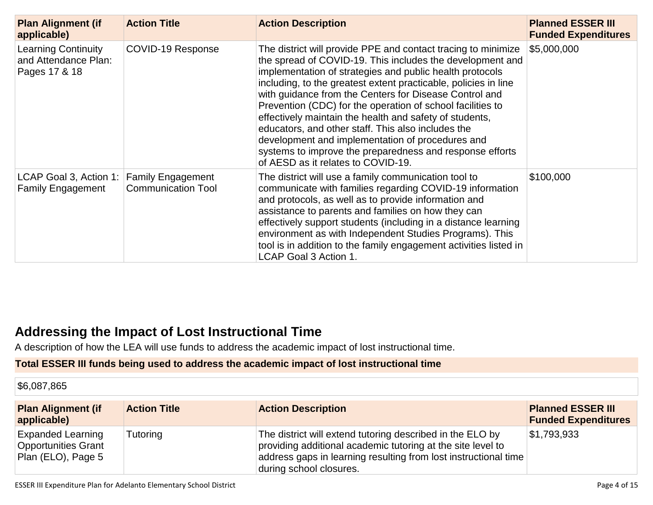| <b>Plan Alignment (if</b><br>applicable)                             | <b>Action Title</b>       | <b>Action Description</b>                                                                                                                                                                                                                                                                                                                                                                                                                                                                                                                                                                                                                                | <b>Planned ESSER III</b><br><b>Funded Expenditures</b> |
|----------------------------------------------------------------------|---------------------------|----------------------------------------------------------------------------------------------------------------------------------------------------------------------------------------------------------------------------------------------------------------------------------------------------------------------------------------------------------------------------------------------------------------------------------------------------------------------------------------------------------------------------------------------------------------------------------------------------------------------------------------------------------|--------------------------------------------------------|
| <b>Learning Continuity</b><br>and Attendance Plan:<br>Pages 17 & 18  | COVID-19 Response         | The district will provide PPE and contact tracing to minimize<br>the spread of COVID-19. This includes the development and<br>implementation of strategies and public health protocols<br>including, to the greatest extent practicable, policies in line<br>with guidance from the Centers for Disease Control and<br>Prevention (CDC) for the operation of school facilities to<br>effectively maintain the health and safety of students,<br>educators, and other staff. This also includes the<br>development and implementation of procedures and<br>systems to improve the preparedness and response efforts<br>of AESD as it relates to COVID-19. | \$5,000,000                                            |
| LCAP Goal 3, Action 1: Family Engagement<br><b>Family Engagement</b> | <b>Communication Tool</b> | The district will use a family communication tool to<br>communicate with families regarding COVID-19 information<br>and protocols, as well as to provide information and<br>assistance to parents and families on how they can<br>effectively support students (including in a distance learning<br>environment as with Independent Studies Programs). This<br>tool is in addition to the family engagement activities listed in<br>LCAP Goal 3 Action 1.                                                                                                                                                                                                | \$100,000                                              |

### **[Addressing the Impact of Lost Instructional Time](#page-13-0)**

A description of how the LEA will use funds to address the academic impact of lost instructional time.

#### **Total ESSER III funds being used to address the academic impact of lost instructional time**

\$6,087,865

| <b>Plan Alignment (if</b><br>applicable)                                     | <b>Action Title</b> | <b>Action Description</b>                                                                                                                                                                                              | <b>Planned ESSER III</b><br><b>Funded Expenditures</b> |
|------------------------------------------------------------------------------|---------------------|------------------------------------------------------------------------------------------------------------------------------------------------------------------------------------------------------------------------|--------------------------------------------------------|
| <b>Expanded Learning</b><br><b>Opportunities Grant</b><br>Plan (ELO), Page 5 | Tutoring            | The district will extend tutoring described in the ELO by<br>providing additional academic tutoring at the site level to<br>address gaps in learning resulting from lost instructional time<br>during school closures. | $\$1,793,933$                                          |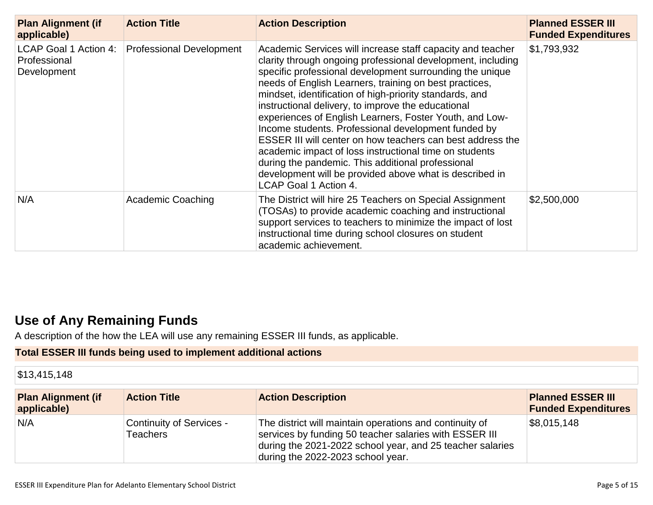| <b>Plan Alignment (if</b><br>applicable)             | <b>Action Title</b>             | <b>Action Description</b>                                                                                                                                                                                                                                                                                                                                                                                                                                                                                                                                                                                                                                                                                                                           | <b>Planned ESSER III</b><br><b>Funded Expenditures</b> |
|------------------------------------------------------|---------------------------------|-----------------------------------------------------------------------------------------------------------------------------------------------------------------------------------------------------------------------------------------------------------------------------------------------------------------------------------------------------------------------------------------------------------------------------------------------------------------------------------------------------------------------------------------------------------------------------------------------------------------------------------------------------------------------------------------------------------------------------------------------------|--------------------------------------------------------|
| LCAP Goal 1 Action 4:<br>Professional<br>Development | <b>Professional Development</b> | Academic Services will increase staff capacity and teacher<br>clarity through ongoing professional development, including<br>specific professional development surrounding the unique<br>needs of English Learners, training on best practices,<br>mindset, identification of high-priority standards, and<br>instructional delivery, to improve the educational<br>experiences of English Learners, Foster Youth, and Low-<br>Income students. Professional development funded by<br>ESSER III will center on how teachers can best address the<br>academic impact of loss instructional time on students<br>during the pandemic. This additional professional<br>development will be provided above what is described in<br>LCAP Goal 1 Action 4. | \$1,793,932                                            |
| N/A                                                  | <b>Academic Coaching</b>        | The District will hire 25 Teachers on Special Assignment<br>(TOSAs) to provide academic coaching and instructional<br>support services to teachers to minimize the impact of lost<br>instructional time during school closures on student<br>academic achievement.                                                                                                                                                                                                                                                                                                                                                                                                                                                                                  | \$2,500,000                                            |

## **[Use of Any Remaining Funds](#page-13-1)**

A description of the how the LEA will use any remaining ESSER III funds, as applicable.

#### **Total ESSER III funds being used to implement additional actions**

\$13,415,148

| <b>Plan Alignment (if</b><br>applicable) | <b>Action Title</b>                  | <b>Action Description</b>                                                                                                                                                                                           | <b>Planned ESSER III</b><br><b>Funded Expenditures</b> |
|------------------------------------------|--------------------------------------|---------------------------------------------------------------------------------------------------------------------------------------------------------------------------------------------------------------------|--------------------------------------------------------|
| N/A                                      | Continuity of Services -<br>Teachers | The district will maintain operations and continuity of<br>services by funding 50 teacher salaries with ESSER III<br>during the 2021-2022 school year, and 25 teacher salaries<br>during the 2022-2023 school year. | \$8,015,148                                            |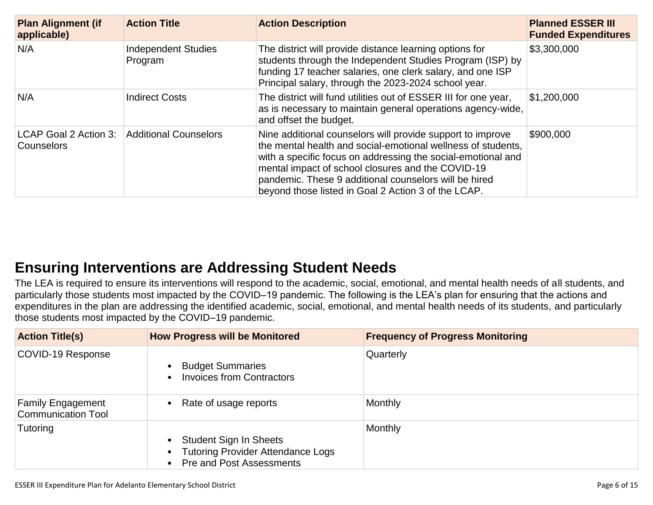| <b>Plan Alignment (if</b><br>applicable) | <b>Action Title</b>                   | <b>Action Description</b>                                                                                                                                                                                                                                                                                                                                       | <b>Planned ESSER III</b><br><b>Funded Expenditures</b> |
|------------------------------------------|---------------------------------------|-----------------------------------------------------------------------------------------------------------------------------------------------------------------------------------------------------------------------------------------------------------------------------------------------------------------------------------------------------------------|--------------------------------------------------------|
| N/A                                      | <b>Independent Studies</b><br>Program | The district will provide distance learning options for<br>students through the Independent Studies Program (ISP) by<br>funding 17 teacher salaries, one clerk salary, and one ISP<br>Principal salary, through the 2023-2024 school year.                                                                                                                      | \$3,300,000                                            |
| N/A                                      | <b>Indirect Costs</b>                 | The district will fund utilities out of ESSER III for one year,<br>as is necessary to maintain general operations agency-wide,<br>and offset the budget.                                                                                                                                                                                                        | \$1,200,000                                            |
| LCAP Goal 2 Action 3:<br>Counselors      | <b>Additional Counselors</b>          | Nine additional counselors will provide support to improve<br>the mental health and social-emotional wellness of students,<br>with a specific focus on addressing the social-emotional and<br>mental impact of school closures and the COVID-19<br>pandemic. These 9 additional counselors will be hired<br>beyond those listed in Goal 2 Action 3 of the LCAP. | \$900,000                                              |

## **[Ensuring Interventions are Addressing Student Needs](#page-13-2)**

The LEA is required to ensure its interventions will respond to the academic, social, emotional, and mental health needs of all students, and particularly those students most impacted by the COVID–19 pandemic. The following is the LEA's plan for ensuring that the actions and expenditures in the plan are addressing the identified academic, social, emotional, and mental health needs of its students, and particularly those students most impacted by the COVID–19 pandemic.

| <b>Action Title(s)</b>                                | <b>How Progress will be Monitored</b>                                                                           | <b>Frequency of Progress Monitoring</b> |
|-------------------------------------------------------|-----------------------------------------------------------------------------------------------------------------|-----------------------------------------|
| COVID-19 Response                                     | <b>Budget Summaries</b><br>$\bullet$<br><b>Invoices from Contractors</b><br>$\bullet$                           | Quarterly                               |
| <b>Family Engagement</b><br><b>Communication Tool</b> | • Rate of usage reports                                                                                         | <b>Monthly</b>                          |
| Tutoring                                              | <b>Student Sign In Sheets</b><br>$\bullet$<br>• Tutoring Provider Attendance Logs<br>• Pre and Post Assessments | <b>Monthly</b>                          |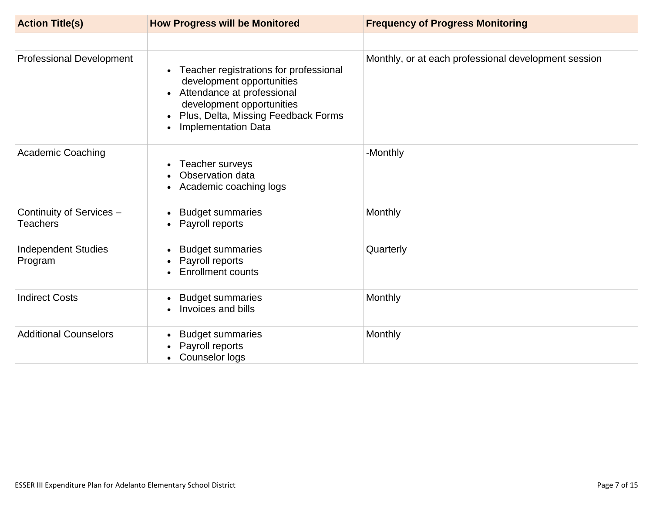| <b>Action Title(s)</b>                      | <b>How Progress will be Monitored</b>                                                                                                                                                                                         | <b>Frequency of Progress Monitoring</b>              |
|---------------------------------------------|-------------------------------------------------------------------------------------------------------------------------------------------------------------------------------------------------------------------------------|------------------------------------------------------|
|                                             |                                                                                                                                                                                                                               |                                                      |
| <b>Professional Development</b>             | Teacher registrations for professional<br>development opportunities<br>Attendance at professional<br>$\bullet$<br>development opportunities<br>Plus, Delta, Missing Feedback Forms<br>$\bullet$<br><b>Implementation Data</b> | Monthly, or at each professional development session |
| <b>Academic Coaching</b>                    | Teacher surveys<br>Observation data<br>Academic coaching logs                                                                                                                                                                 | -Monthly                                             |
| Continuity of Services -<br><b>Teachers</b> | <b>Budget summaries</b><br>Payroll reports                                                                                                                                                                                    | Monthly                                              |
| <b>Independent Studies</b><br>Program       | <b>Budget summaries</b><br>Payroll reports<br><b>Enrollment counts</b>                                                                                                                                                        | Quarterly                                            |
| <b>Indirect Costs</b>                       | <b>Budget summaries</b><br>$\bullet$<br>Invoices and bills                                                                                                                                                                    | Monthly                                              |
| <b>Additional Counselors</b>                | <b>Budget summaries</b><br>Payroll reports<br>Counselor logs<br>$\bullet$                                                                                                                                                     | Monthly                                              |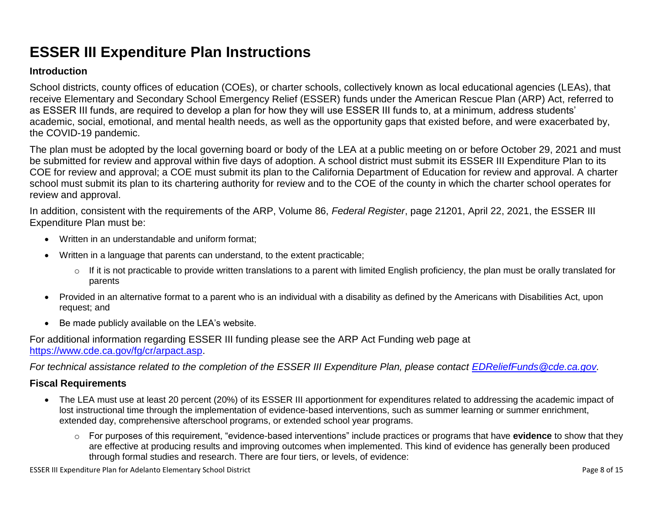# **ESSER III Expenditure Plan Instructions**

#### **Introduction**

School districts, county offices of education (COEs), or charter schools, collectively known as local educational agencies (LEAs), that receive Elementary and Secondary School Emergency Relief (ESSER) funds under the American Rescue Plan (ARP) Act, referred to as ESSER III funds, are required to develop a plan for how they will use ESSER III funds to, at a minimum, address students' academic, social, emotional, and mental health needs, as well as the opportunity gaps that existed before, and were exacerbated by, the COVID-19 pandemic.

The plan must be adopted by the local governing board or body of the LEA at a public meeting on or before October 29, 2021 and must be submitted for review and approval within five days of adoption. A school district must submit its ESSER III Expenditure Plan to its COE for review and approval; a COE must submit its plan to the California Department of Education for review and approval. A charter school must submit its plan to its chartering authority for review and to the COE of the county in which the charter school operates for review and approval.

In addition, consistent with the requirements of the ARP, Volume 86, *Federal Register*, page 21201, April 22, 2021, the ESSER III Expenditure Plan must be:

- Written in an understandable and uniform format;
- Written in a language that parents can understand, to the extent practicable;
	- $\circ$  If it is not practicable to provide written translations to a parent with limited English proficiency, the plan must be orally translated for parents
- Provided in an alternative format to a parent who is an individual with a disability as defined by the Americans with Disabilities Act, upon request; and
- Be made publicly available on the LEA's website.

For additional information regarding ESSER III funding please see the ARP Act Funding web page at [https://www.cde.ca.gov/fg/cr/arpact.asp.](https://www.cde.ca.gov/fg/cr/arpact.asp)

*For technical assistance related to the completion of the ESSER III Expenditure Plan, please contact [EDReliefFunds@cde.ca.gov.](mailto:EDReliefFunds@cde.ca.gov)* 

#### **Fiscal Requirements**

- The LEA must use at least 20 percent (20%) of its ESSER III apportionment for expenditures related to addressing the academic impact of lost instructional time through the implementation of evidence-based interventions, such as summer learning or summer enrichment, extended day, comprehensive afterschool programs, or extended school year programs.
	- o For purposes of this requirement, "evidence-based interventions" include practices or programs that have **evidence** to show that they are effective at producing results and improving outcomes when implemented. This kind of evidence has generally been produced through formal studies and research. There are four tiers, or levels, of evidence: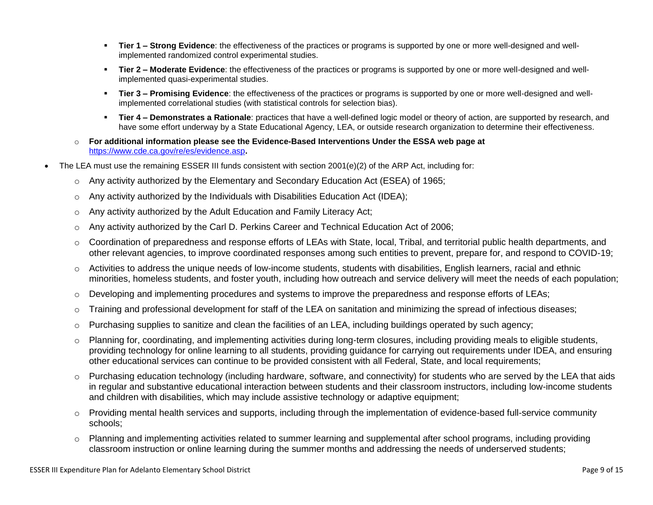- **Tier 1 – Strong Evidence**: the effectiveness of the practices or programs is supported by one or more well-designed and wellimplemented randomized control experimental studies.
- **Tier 2 – Moderate Evidence**: the effectiveness of the practices or programs is supported by one or more well-designed and wellimplemented quasi-experimental studies.
- **Tier 3 – Promising Evidence**: the effectiveness of the practices or programs is supported by one or more well-designed and wellimplemented correlational studies (with statistical controls for selection bias).
- **Tier 4 – Demonstrates a Rationale**: practices that have a well-defined logic model or theory of action, are supported by research, and have some effort underway by a State Educational Agency, LEA, or outside research organization to determine their effectiveness.
- o **For additional information please see the Evidence-Based Interventions Under the ESSA web page at**  <https://www.cde.ca.gov/re/es/evidence.asp>**.**
- The LEA must use the remaining ESSER III funds consistent with section 2001(e)(2) of the ARP Act, including for:
	- $\circ$  Any activity authorized by the Elementary and Secondary Education Act (ESEA) of 1965;
	- $\circ$  Any activity authorized by the Individuals with Disabilities Education Act (IDEA);
	- o Any activity authorized by the Adult Education and Family Literacy Act;
	- $\circ$  Any activity authorized by the Carl D. Perkins Career and Technical Education Act of 2006;
	- $\circ$  Coordination of preparedness and response efforts of LEAs with State, local, Tribal, and territorial public health departments, and other relevant agencies, to improve coordinated responses among such entities to prevent, prepare for, and respond to COVID-19;
	- $\circ$  Activities to address the unique needs of low-income students, students with disabilities, English learners, racial and ethnic minorities, homeless students, and foster youth, including how outreach and service delivery will meet the needs of each population;
	- o Developing and implementing procedures and systems to improve the preparedness and response efforts of LEAs;
	- $\circ$  Training and professional development for staff of the LEA on sanitation and minimizing the spread of infectious diseases;
	- $\circ$  Purchasing supplies to sanitize and clean the facilities of an LEA, including buildings operated by such agency;
	- $\circ$  Planning for, coordinating, and implementing activities during long-term closures, including providing meals to eligible students, providing technology for online learning to all students, providing guidance for carrying out requirements under IDEA, and ensuring other educational services can continue to be provided consistent with all Federal, State, and local requirements;
	- o Purchasing education technology (including hardware, software, and connectivity) for students who are served by the LEA that aids in regular and substantive educational interaction between students and their classroom instructors, including low-income students and children with disabilities, which may include assistive technology or adaptive equipment;
	- o Providing mental health services and supports, including through the implementation of evidence-based full-service community schools;
	- o Planning and implementing activities related to summer learning and supplemental after school programs, including providing classroom instruction or online learning during the summer months and addressing the needs of underserved students;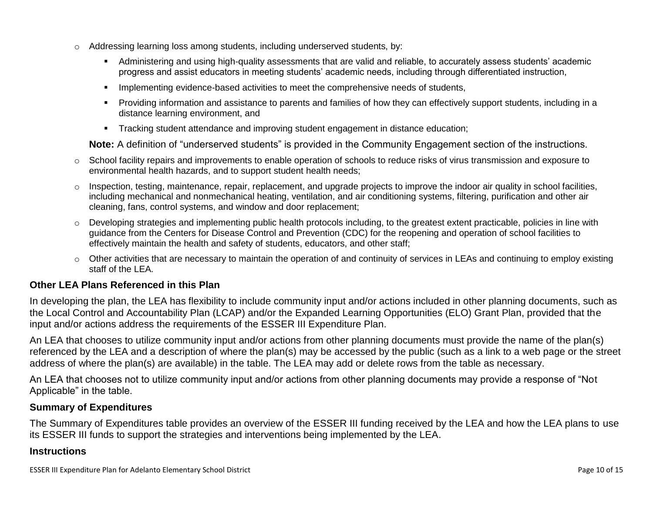- o Addressing learning loss among students, including underserved students, by:
	- Administering and using high-quality assessments that are valid and reliable, to accurately assess students' academic progress and assist educators in meeting students' academic needs, including through differentiated instruction,
	- **IMPLEMENTER IMPLEMENT EVALUATE:** Implementing evidence-based activities to meet the comprehensive needs of students,
	- Providing information and assistance to parents and families of how they can effectively support students, including in a distance learning environment, and
	- Tracking student attendance and improving student engagement in distance education;

**Note:** A definition of "underserved students" is provided in the Community Engagement section of the instructions.

- o School facility repairs and improvements to enable operation of schools to reduce risks of virus transmission and exposure to environmental health hazards, and to support student health needs;
- $\circ$  Inspection, testing, maintenance, repair, replacement, and upgrade projects to improve the indoor air quality in school facilities, including mechanical and nonmechanical heating, ventilation, and air conditioning systems, filtering, purification and other air cleaning, fans, control systems, and window and door replacement;
- o Developing strategies and implementing public health protocols including, to the greatest extent practicable, policies in line with guidance from the Centers for Disease Control and Prevention (CDC) for the reopening and operation of school facilities to effectively maintain the health and safety of students, educators, and other staff;
- $\circ$  Other activities that are necessary to maintain the operation of and continuity of services in LEAs and continuing to employ existing staff of the LEA.

#### <span id="page-9-0"></span>**Other LEA Plans Referenced in this Plan**

In developing the plan, the LEA has flexibility to include community input and/or actions included in other planning documents, such as the Local Control and Accountability Plan (LCAP) and/or the Expanded Learning Opportunities (ELO) Grant Plan, provided that the input and/or actions address the requirements of the ESSER III Expenditure Plan.

An LEA that chooses to utilize community input and/or actions from other planning documents must provide the name of the plan(s) referenced by the LEA and a description of where the plan(s) may be accessed by the public (such as a link to a web page or the street address of where the plan(s) are available) in the table. The LEA may add or delete rows from the table as necessary.

An LEA that chooses not to utilize community input and/or actions from other planning documents may provide a response of "Not Applicable" in the table.

#### <span id="page-9-1"></span>**Summary of Expenditures**

The Summary of Expenditures table provides an overview of the ESSER III funding received by the LEA and how the LEA plans to use its ESSER III funds to support the strategies and interventions being implemented by the LEA.

#### **Instructions**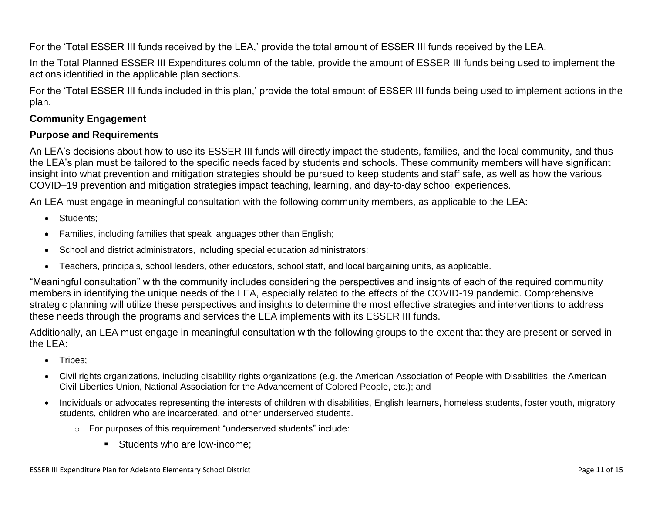For the 'Total ESSER III funds received by the LEA,' provide the total amount of ESSER III funds received by the LEA.

In the Total Planned ESSER III Expenditures column of the table, provide the amount of ESSER III funds being used to implement the actions identified in the applicable plan sections.

For the 'Total ESSER III funds included in this plan,' provide the total amount of ESSER III funds being used to implement actions in the plan.

#### <span id="page-10-0"></span>**Community Engagement**

#### **Purpose and Requirements**

An LEA's decisions about how to use its ESSER III funds will directly impact the students, families, and the local community, and thus the LEA's plan must be tailored to the specific needs faced by students and schools. These community members will have significant insight into what prevention and mitigation strategies should be pursued to keep students and staff safe, as well as how the various COVID–19 prevention and mitigation strategies impact teaching, learning, and day-to-day school experiences.

An LEA must engage in meaningful consultation with the following community members, as applicable to the LEA:

- Students:
- Families, including families that speak languages other than English;
- School and district administrators, including special education administrators;
- Teachers, principals, school leaders, other educators, school staff, and local bargaining units, as applicable.

"Meaningful consultation" with the community includes considering the perspectives and insights of each of the required community members in identifying the unique needs of the LEA, especially related to the effects of the COVID-19 pandemic. Comprehensive strategic planning will utilize these perspectives and insights to determine the most effective strategies and interventions to address these needs through the programs and services the LEA implements with its ESSER III funds.

Additionally, an LEA must engage in meaningful consultation with the following groups to the extent that they are present or served in the LEA:

- Tribes;
- Civil rights organizations, including disability rights organizations (e.g. the American Association of People with Disabilities, the American Civil Liberties Union, National Association for the Advancement of Colored People, etc.); and
- Individuals or advocates representing the interests of children with disabilities, English learners, homeless students, foster youth, migratory students, children who are incarcerated, and other underserved students.
	- o For purposes of this requirement "underserved students" include:
		- Students who are low-income: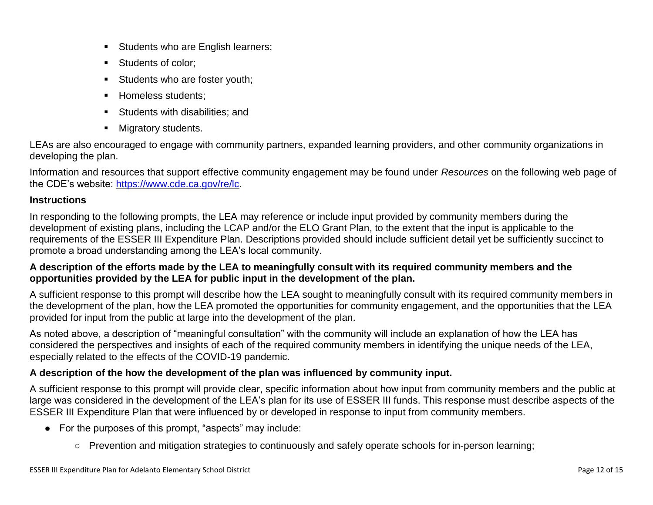- **Students who are English learners;**
- Students of color;
- Students who are foster youth;
- Homeless students:
- **Students with disabilities; and**
- **Migratory students.**

LEAs are also encouraged to engage with community partners, expanded learning providers, and other community organizations in developing the plan.

Information and resources that support effective community engagement may be found under *Resources* on the following web page of the CDE's website: [https://www.cde.ca.gov/re/lc.](https://www.cde.ca.gov/re/lc)

#### **Instructions**

In responding to the following prompts, the LEA may reference or include input provided by community members during the development of existing plans, including the LCAP and/or the ELO Grant Plan, to the extent that the input is applicable to the requirements of the ESSER III Expenditure Plan. Descriptions provided should include sufficient detail yet be sufficiently succinct to promote a broad understanding among the LEA's local community.

#### **A description of the efforts made by the LEA to meaningfully consult with its required community members and the opportunities provided by the LEA for public input in the development of the plan.**

A sufficient response to this prompt will describe how the LEA sought to meaningfully consult with its required community members in the development of the plan, how the LEA promoted the opportunities for community engagement, and the opportunities that the LEA provided for input from the public at large into the development of the plan.

As noted above, a description of "meaningful consultation" with the community will include an explanation of how the LEA has considered the perspectives and insights of each of the required community members in identifying the unique needs of the LEA, especially related to the effects of the COVID-19 pandemic.

#### **A description of the how the development of the plan was influenced by community input.**

A sufficient response to this prompt will provide clear, specific information about how input from community members and the public at large was considered in the development of the LEA's plan for its use of ESSER III funds. This response must describe aspects of the ESSER III Expenditure Plan that were influenced by or developed in response to input from community members.

- For the purposes of this prompt, "aspects" may include:
	- Prevention and mitigation strategies to continuously and safely operate schools for in-person learning;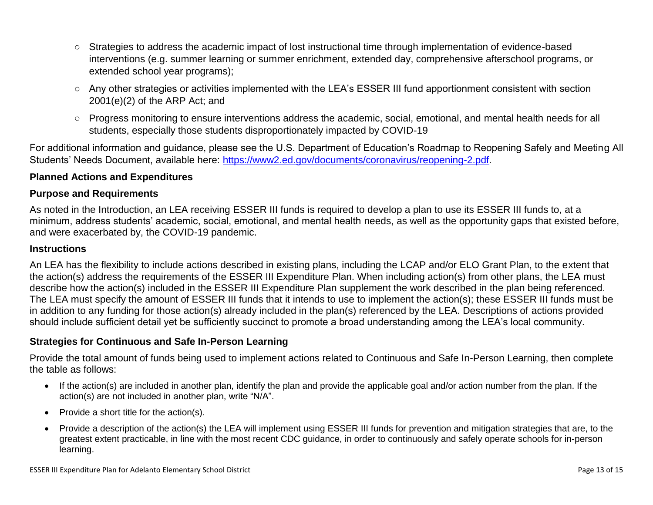- Strategies to address the academic impact of lost instructional time through implementation of evidence-based interventions (e.g. summer learning or summer enrichment, extended day, comprehensive afterschool programs, or extended school year programs);
- Any other strategies or activities implemented with the LEA's ESSER III fund apportionment consistent with section 2001(e)(2) of the ARP Act; and
- Progress monitoring to ensure interventions address the academic, social, emotional, and mental health needs for all students, especially those students disproportionately impacted by COVID-19

For additional information and guidance, please see the U.S. Department of Education's Roadmap to Reopening Safely and Meeting All Students' Needs Document, available here: [https://www2.ed.gov/documents/coronavirus/reopening-2.pdf.](https://www2.ed.gov/documents/coronavirus/reopening-2.pdf)

#### <span id="page-12-0"></span>**Planned Actions and Expenditures**

#### **Purpose and Requirements**

As noted in the Introduction, an LEA receiving ESSER III funds is required to develop a plan to use its ESSER III funds to, at a minimum, address students' academic, social, emotional, and mental health needs, as well as the opportunity gaps that existed before, and were exacerbated by, the COVID-19 pandemic.

#### **Instructions**

An LEA has the flexibility to include actions described in existing plans, including the LCAP and/or ELO Grant Plan, to the extent that the action(s) address the requirements of the ESSER III Expenditure Plan. When including action(s) from other plans, the LEA must describe how the action(s) included in the ESSER III Expenditure Plan supplement the work described in the plan being referenced. The LEA must specify the amount of ESSER III funds that it intends to use to implement the action(s); these ESSER III funds must be in addition to any funding for those action(s) already included in the plan(s) referenced by the LEA. Descriptions of actions provided should include sufficient detail yet be sufficiently succinct to promote a broad understanding among the LEA's local community.

#### <span id="page-12-1"></span>**Strategies for Continuous and Safe In-Person Learning**

Provide the total amount of funds being used to implement actions related to Continuous and Safe In-Person Learning, then complete the table as follows:

- If the action(s) are included in another plan, identify the plan and provide the applicable goal and/or action number from the plan. If the action(s) are not included in another plan, write "N/A".
- Provide a short title for the  $action(s)$ .
- Provide a description of the action(s) the LEA will implement using ESSER III funds for prevention and mitigation strategies that are, to the greatest extent practicable, in line with the most recent CDC guidance, in order to continuously and safely operate schools for in-person learning.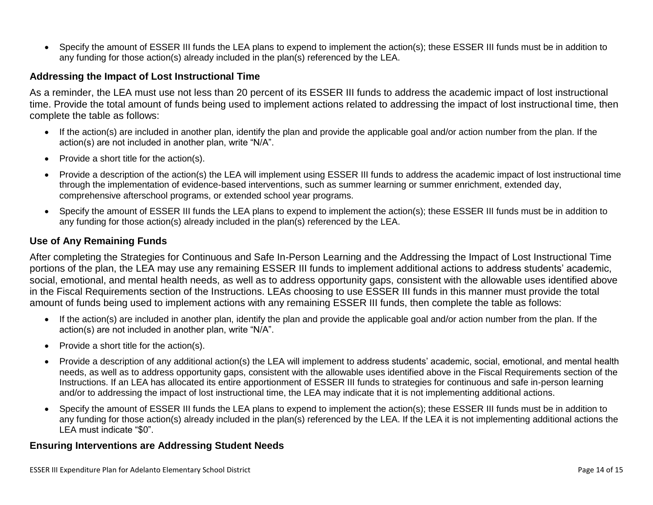Specify the amount of ESSER III funds the LEA plans to expend to implement the action(s); these ESSER III funds must be in addition to any funding for those action(s) already included in the plan(s) referenced by the LEA.

#### <span id="page-13-0"></span>**Addressing the Impact of Lost Instructional Time**

As a reminder, the LEA must use not less than 20 percent of its ESSER III funds to address the academic impact of lost instructional time. Provide the total amount of funds being used to implement actions related to addressing the impact of lost instructional time, then complete the table as follows:

- If the action(s) are included in another plan, identify the plan and provide the applicable goal and/or action number from the plan. If the action(s) are not included in another plan, write "N/A".
- Provide a short title for the action(s).
- Provide a description of the action(s) the LEA will implement using ESSER III funds to address the academic impact of lost instructional time through the implementation of evidence-based interventions, such as summer learning or summer enrichment, extended day, comprehensive afterschool programs, or extended school year programs.
- Specify the amount of ESSER III funds the LEA plans to expend to implement the action(s); these ESSER III funds must be in addition to any funding for those action(s) already included in the plan(s) referenced by the LEA.

#### <span id="page-13-1"></span>**Use of Any Remaining Funds**

After completing the Strategies for Continuous and Safe In-Person Learning and the Addressing the Impact of Lost Instructional Time portions of the plan, the LEA may use any remaining ESSER III funds to implement additional actions to address students' academic, social, emotional, and mental health needs, as well as to address opportunity gaps, consistent with the allowable uses identified above in the Fiscal Requirements section of the Instructions. LEAs choosing to use ESSER III funds in this manner must provide the total amount of funds being used to implement actions with any remaining ESSER III funds, then complete the table as follows:

- If the action(s) are included in another plan, identify the plan and provide the applicable goal and/or action number from the plan. If the action(s) are not included in another plan, write "N/A".
- Provide a short title for the  $action(s)$ .
- Provide a description of any additional action(s) the LEA will implement to address students' academic, social, emotional, and mental health needs, as well as to address opportunity gaps, consistent with the allowable uses identified above in the Fiscal Requirements section of the Instructions. If an LEA has allocated its entire apportionment of ESSER III funds to strategies for continuous and safe in-person learning and/or to addressing the impact of lost instructional time, the LEA may indicate that it is not implementing additional actions.
- Specify the amount of ESSER III funds the LEA plans to expend to implement the action(s); these ESSER III funds must be in addition to any funding for those action(s) already included in the plan(s) referenced by the LEA. If the LEA it is not implementing additional actions the LEA must indicate "\$0".

#### <span id="page-13-2"></span>**Ensuring Interventions are Addressing Student Needs**